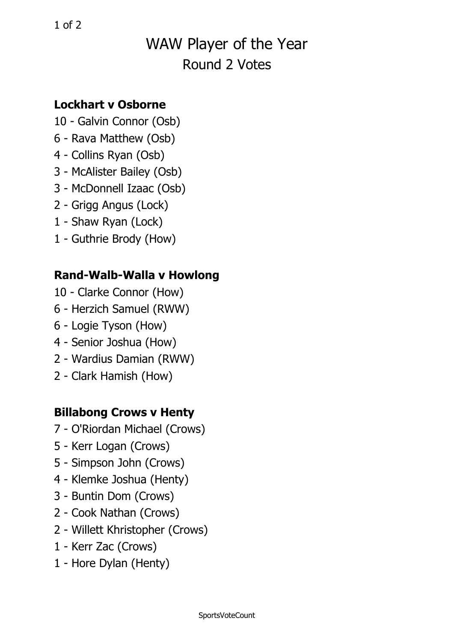# WAW Player of the Year Round 2 Votes

#### **Lockhart v Osborne**

- 10 Galvin Connor (Osb)
- 6 Rava Matthew (Osb)
- 4 Collins Ryan (Osb)
- 3 McAlister Bailey (Osb)
- 3 McDonnell Izaac (Osb)
- 2 Grigg Angus (Lock)
- 1 Shaw Ryan (Lock)
- 1 Guthrie Brody (How)

### **Rand-Walb-Walla <sup>v</sup> Howlong**

- 10 Clarke Connor (How)
- 6 Herzich Samuel (RWW)
- 6 Logie Tyson (How)
- 4 Senior Joshua (How)
- 2 Wardius Damian (RWW)
- 2 Clark Hamish (How)

### **Billabong Crows <sup>v</sup> Henty**

- 7 O'Riordan Michael (Crows)
- 5 Kerr Logan (Crows)
- 5 Simpson John (Crows)
- 4 Klemke Joshua (Henty)
- 3 Buntin Dom (Crows)
- 2 Cook Nathan (Crows)
- 2 Willett Khristopher (Crows)
- 1 Kerr Zac (Crows)
- 1 Hore Dylan (Henty)